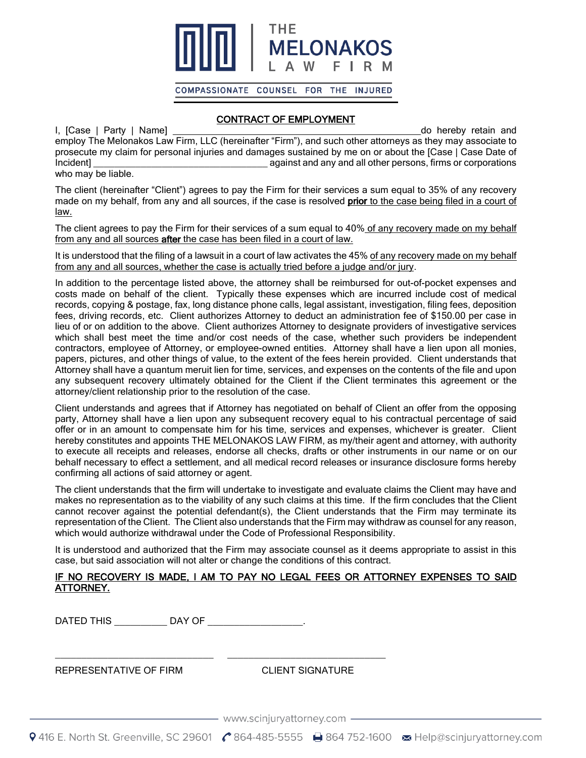

COMPASSIONATE COUNSEL FOR THE INJURED

## CONTRACT OF EMPLOYMENT

I, [Case | Party | Name] \_\_\_\_\_\_\_\_\_\_\_\_\_\_\_\_\_\_\_\_\_\_\_\_\_\_\_\_\_\_\_\_\_\_\_\_\_\_\_\_\_\_\_\_\_\_\_do hereby retain and employ The Melonakos Law Firm, LLC (hereinafter "Firm"), and such other attorneys as they may associate to prosecute my claim for personal injuries and damages sustained by me on or about the [Case | Case Date of Incident] **Incident Exercise 2** against and any and all other persons, firms or corporations who may be liable.

The client (hereinafter "Client") agrees to pay the Firm for their services a sum equal to 35% of any recovery made on my behalf, from any and all sources, if the case is resolved prior to the case being filed in a court of law.

The client agrees to pay the Firm for their services of a sum equal to 40% of any recovery made on my behalf from any and all sources after the case has been filed in a court of law.

It is understood that the filing of a lawsuit in a court of law activates the 45% of any recovery made on my behalf from any and all sources, whether the case is actually tried before a judge and/or jury.

In addition to the percentage listed above, the attorney shall be reimbursed for out-of-pocket expenses and costs made on behalf of the client. Typically these expenses which are incurred include cost of medical records, copying & postage, fax, long distance phone calls, legal assistant, investigation, filing fees, deposition fees, driving records, etc. Client authorizes Attorney to deduct an administration fee of \$150.00 per case in lieu of or on addition to the above. Client authorizes Attorney to designate providers of investigative services which shall best meet the time and/or cost needs of the case, whether such providers be independent contractors, employee of Attorney, or employee-owned entities. Attorney shall have a lien upon all monies, papers, pictures, and other things of value, to the extent of the fees herein provided. Client understands that Attorney shall have a quantum meruit lien for time, services, and expenses on the contents of the file and upon any subsequent recovery ultimately obtained for the Client if the Client terminates this agreement or the attorney/client relationship prior to the resolution of the case.

Client understands and agrees that if Attorney has negotiated on behalf of Client an offer from the opposing party, Attorney shall have a lien upon any subsequent recovery equal to his contractual percentage of said offer or in an amount to compensate him for his time, services and expenses, whichever is greater. Client hereby constitutes and appoints THE MELONAKOS LAW FIRM, as my/their agent and attorney, with authority to execute all receipts and releases, endorse all checks, drafts or other instruments in our name or on our behalf necessary to effect a settlement, and all medical record releases or insurance disclosure forms hereby confirming all actions of said attorney or agent.

The client understands that the firm will undertake to investigate and evaluate claims the Client may have and makes no representation as to the viability of any such claims at this time. If the firm concludes that the Client cannot recover against the potential defendant(s), the Client understands that the Firm may terminate its representation of the Client. The Client also understands that the Firm may withdraw as counsel for any reason, which would authorize withdrawal under the Code of Professional Responsibility.

It is understood and authorized that the Firm may associate counsel as it deems appropriate to assist in this case, but said association will not alter or change the conditions of this contract.

## IF NO RECOVERY IS MADE, I AM TO PAY NO LEGAL FEES OR ATTORNEY EXPENSES TO SAID ATTORNEY.

DATED THIS \_\_\_\_\_\_\_\_\_\_ DAY OF \_\_\_\_\_\_\_\_\_\_\_\_\_\_\_\_\_\_.

\_\_\_\_\_\_\_\_\_\_\_\_\_\_\_\_\_\_\_\_\_\_\_\_\_\_\_\_\_\_ \_\_\_\_\_\_\_\_\_\_\_\_\_\_\_\_\_\_\_\_\_\_\_\_\_\_\_\_\_\_

REPRESENTATIVE OF FIRM CLIENT SIGNATURE

—— www.scinjuryattorney.com —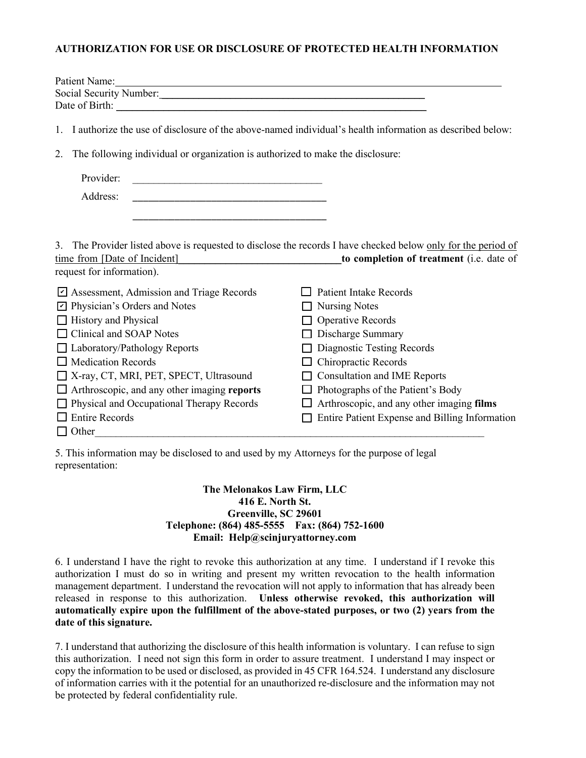## **AUTHORIZATION FOR USE OR DISCLOSURE OF PROTECTED HEALTH INFORMATION**

| Patient Name:<br>and the control of the control of the control of the control of the control of the control of the control of the |                                                                                                            |
|-----------------------------------------------------------------------------------------------------------------------------------|------------------------------------------------------------------------------------------------------------|
|                                                                                                                                   |                                                                                                            |
|                                                                                                                                   |                                                                                                            |
| 1. I authorize the use of disclosure of the above-named individual's health information as described below:                       |                                                                                                            |
| The following individual or organization is authorized to make the disclosure:<br>2.                                              |                                                                                                            |
| Provider:                                                                                                                         |                                                                                                            |
| Address:                                                                                                                          |                                                                                                            |
|                                                                                                                                   |                                                                                                            |
|                                                                                                                                   |                                                                                                            |
| 3.                                                                                                                                | The Provider listed above is requested to disclose the records I have checked below only for the period of |
| time from [Date of Incident]                                                                                                      | to completion of treatment (i.e. date of                                                                   |
| request for information).                                                                                                         |                                                                                                            |
| Assessment, Admission and Triage Records                                                                                          | <b>Patient Intake Records</b>                                                                              |
| Physician's Orders and Notes                                                                                                      | <b>Nursing Notes</b>                                                                                       |
| History and Physical                                                                                                              | <b>Operative Records</b>                                                                                   |
| <b>Clinical and SOAP Notes</b>                                                                                                    | Discharge Summary                                                                                          |
| Laboratory/Pathology Reports                                                                                                      | Diagnostic Testing Records                                                                                 |
| $\Box$ Medication Records                                                                                                         | Chiropractic Records                                                                                       |
| $\Box$ X-ray, CT, MRI, PET, SPECT, Ultrasound                                                                                     | <b>Consultation and IME Reports</b>                                                                        |
| Arthroscopic, and any other imaging reports                                                                                       | Photographs of the Patient's Body<br>$\Box$                                                                |
| Physical and Occupational Therapy Records                                                                                         | Arthroscopic, and any other imaging films                                                                  |
| <b>Entire Records</b>                                                                                                             | Entire Patient Expense and Billing Information                                                             |
| $\Box$ Other                                                                                                                      |                                                                                                            |
|                                                                                                                                   |                                                                                                            |

5. This information may be disclosed to and used by my Attorneys for the purpose of legal representation:

## **The Melonakos Law Firm, LLC 416 E. North St. Greenville, SC 29601 Telephone: (864) 485-5555 Fax: (864) 752-1600 Email: Help@scinjuryattorney.com**

6. I understand I have the right to revoke this authorization at any time. I understand if I revoke this authorization I must do so in writing and present my written revocation to the health information management department. I understand the revocation will not apply to information that has already been released in response to this authorization. **Unless otherwise revoked, this authorization will automatically expire upon the fulfillment of the above-stated purposes, or two (2) years from the date of this signature.** 

7. I understand that authorizing the disclosure of this health information is voluntary. I can refuse to sign this authorization. I need not sign this form in order to assure treatment. I understand I may inspect or copy the information to be used or disclosed, as provided in 45 CFR 164.524. I understand any disclosure of information carries with it the potential for an unauthorized re-disclosure and the information may not be protected by federal confidentiality rule.